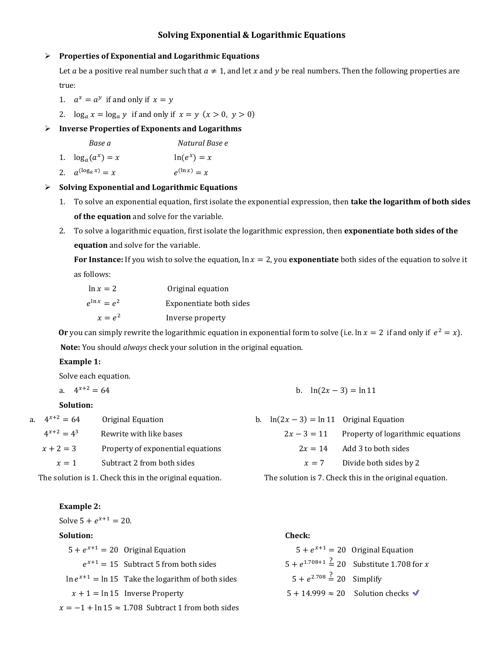## Solving Exponential & Logarithmic Equations

### $\triangleright$  Properties of Exponential and Logarithmic Equations

Let a be a positive real number such that  $a \neq 1$ , and let x and y be real numbers. Then the following properties are true:

- 1.  $a^x = a^y$  if and only if  $x = y$
- 2.  $\log_a x = \log_a y$  if and only if  $x = y$   $(x > 0, y > 0)$

### $\triangleright$  Inverse Properties of Exponents and Logarithms

Base a Natural Base e

2.  $a^{(\log_a x)} = x$  e  $e^{(\ln x)} = x$ 

#### $\triangleright$  Solving Exponential and Logarithmic Equations

- 1. To solve an exponential equation, first isolate the exponential expression, then take the logarithm of both sides of the equation and solve for the variable.
- 2. To solve a logarithmic equation, first isolate the logarithmic expression, then exponentiate both sides of the equation and solve for the variable.

For Instance: If you wish to solve the equation,  $\ln x = 2$ , you exponentiate both sides of the equation to solve it as follows:

| $\ln x = 2$       | Original equation       |
|-------------------|-------------------------|
| $e^{\ln x} = e^2$ | Exponentiate both sides |
| $x = e^2$         | Inverse property        |

Or you can simply rewrite the logarithmic equation in exponential form to solve (i.e.  $\ln x = 2$  if and only if  $e^2 = x$ ). Note: You should *always* check your solution in the original equation.

### Example 1:

Solve each equation.

| a. $4^{x+2} = 64$ |  | b. $ln(2x-3) = ln 11$ |
|-------------------|--|-----------------------|
|-------------------|--|-----------------------|

## Solution:

a

| a. $4^{x+2} = 64$ | Original Equation                                       | b. $\ln(2x-3) = \ln 11$ Original Equation |                                                         |
|-------------------|---------------------------------------------------------|-------------------------------------------|---------------------------------------------------------|
| $4^{x+2} = 4^3$   | Rewrite with like bases                                 | $2x - 3 = 11$                             | Property of logarithmic equations                       |
| $x + 2 = 3$       | Property of exponential equations                       | $2x = 14$                                 | Add 3 to both sides                                     |
| $x=1$             | Subtract 2 from both sides                              | $x = 7$                                   | Divide both sides by 2                                  |
|                   | The solution is 1. Check this in the original equation. |                                           | The solution is 7. Check this in the original equation. |

The solution is 1. Check this in the original equation.

#### Example 2:

Solve  $5 + e^{x+1} = 20$ .

#### Solution:

| $5 + e^{x+1} = 20$ Original Equation                       |                                             | $5 + e^{x+1} = 20$ Original Equation                          |
|------------------------------------------------------------|---------------------------------------------|---------------------------------------------------------------|
| $e^{x+1} = 15$ Subtract 5 from both sides                  |                                             | $5 + e^{1.708 + 1} \stackrel{?}{=} 20$ Substitute 1.708 for x |
| $\ln e^{x+1} = \ln 15$ Take the logarithm of both sides    | $5 + e^{2.708} \stackrel{?}{=} 20$ Simplify |                                                               |
| $x + 1 = \ln 15$ Inverse Property                          |                                             | $5 + 14.999 \approx 20$ Solution checks $\blacktriangleright$ |
| $x = -1 + \ln 15 \approx 1.708$ Subtract 1 from both sides |                                             |                                                               |

Check: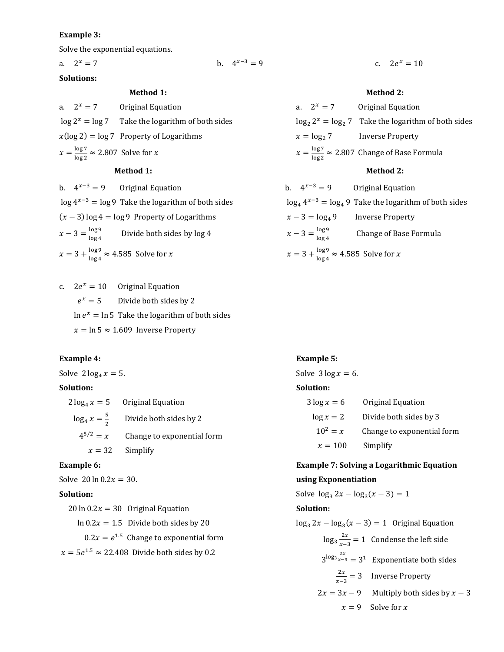#### Example 3:

Solve the exponential equations.

a.  $2^x = 7$  b. 4

Solutions:

| a. $2^x = 7$ | Original Equation                                    |
|--------------|------------------------------------------------------|
|              | $\log 2^x = \log 7$ Take the logarithm of both sides |
|              | $x(\log 2) = \log 7$ Property of Logarithms          |

 $x = \frac{\log 7}{\log 2}$  $\frac{\log r}{\log 2} \approx 2.807$  Solve for x

#### Method 1:

b.  $4^{x-3} = 9$  Original Equation  $\log 4^{x-3} = \log 9$  Take the logarithm of both sides  $(x - 3) \log 4 = \log 9$  Property of Logarithms  $x - 3 = \frac{\log 9}{\log 4}$  Divide both sides by log 4  $x = 3 + \frac{\log 9}{\log 4} \approx 4.585$  Solve for x

c.  $2e^{x} = 10$  Original Equation  $e^x = 5$  Divide both sides by 2  $\ln e^x = \ln 5$  Take the logarithm of both sides  $x = \ln 5 \approx 1.609$  Inverse Property

#### Example 4:

Solve  $2 \log_4 x = 5$ .

#### Solution:

|                          | $2 \log_4 x = 5$ Original Equation |
|--------------------------|------------------------------------|
| $\log_4 x = \frac{5}{2}$ | Divide both sides by 2             |
| $4^{5/2} = x$            | Change to exponential form         |
|                          | $x = 32$ Simplify                  |

#### Example 6:

Solve  $20 \ln 0.2x = 30$ .

#### Solution:

| $20 \ln 0.2x = 30$ Original Equation                   |
|--------------------------------------------------------|
| $\ln 0.2x = 1.5$ Divide both sides by 20               |
| $0.2x = e^{1.5}$ Change to exponential form            |
| $x = 5e^{1.5} \approx 22.408$ Divide both sides by 0.2 |

b.  $4^{x-3} = 9$  c.  $2e^x = 10$ 

#### Method 1: Method 2:

|                                                           | a. $2^x = 7$ Original Equation                                   |  |  |
|-----------------------------------------------------------|------------------------------------------------------------------|--|--|
|                                                           | $\log_2 2^x = \log_2 7$ Take the logarithm of both sides         |  |  |
|                                                           | $x = \log_2 7$ Inverse Property                                  |  |  |
|                                                           | $x = \frac{\log 7}{\log 2} \approx 2.807$ Change of Base Formula |  |  |
| <b>Method 2:</b>                                          |                                                                  |  |  |
| b. $4^{x-3} = 9$ Original Equation                        |                                                                  |  |  |
|                                                           | $\log_4 4^{x-3} = \log_4 9$ Take the logarithm of both sides     |  |  |
| $x-3 = \log_4 9$ Inverse Property                         |                                                                  |  |  |
|                                                           | $x-3=\frac{\log 9}{\log 4}$ Change of Base Formula               |  |  |
| $x = 3 + \frac{\log 9}{\log 4} \approx 4.585$ Solve for x |                                                                  |  |  |

#### Example 5:

Solve  $3 \log x = 6$ .

#### Solution:

| $3 \log x = 6$ | Original Equation          |
|----------------|----------------------------|
| $\log x = 2$   | Divide both sides by 3     |
| $10^2 = x$     | Change to exponential form |
| $x = 100$      | Simplify                   |

## Example 7: Solving a Logarithmic Equation using Exponentiation

Solve  $\log_3 2x - \log_3 (x - 3) = 1$ Solution:  $\log_3 2x - \log_3 (x - 3) = 1$  Original Equation  $\log_3 \frac{2x}{x-1}$  $rac{2x}{x-3} = 1$  Condense the left side  $3^{\log_3 \frac{2x}{x-3}} = 3^1$  Exponentiate both sides  $2x$  $rac{2x}{x-3}$  = 3 Inverse Property  $2x = 3x - 9$  Multiply both sides by  $x - 3$  $x = 9$  Solve for x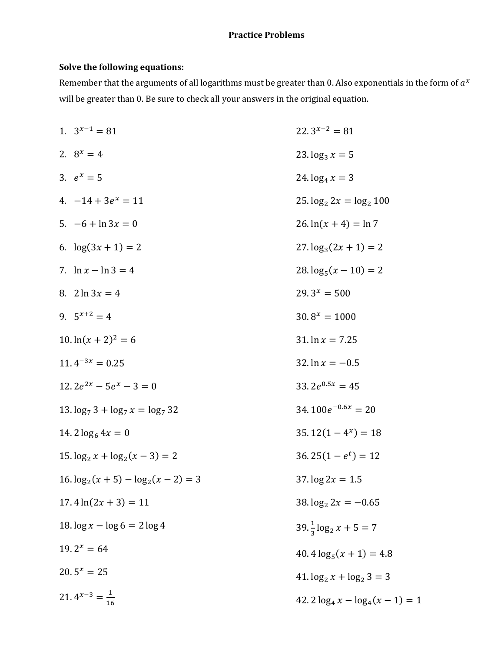# Practice Problems

# Solve the following equations:

Remember that the arguments of all logarithms must be greater than 0. Also exponentials in the form of  $a^x$ will be greater than 0. Be sure to check all your answers in the original equation.

| 1. $3^{x-1} = 81$                     | $22.3^{x-2} = 81$                     |
|---------------------------------------|---------------------------------------|
| 2. $8^x = 4$                          | 23. $\log_3 x = 5$                    |
| 3. $e^x = 5$                          | 24. $\log_4 x = 3$                    |
| 4. $-14 + 3e^{x} = 11$                | $25. \log_2 2x = \log_2 100$          |
| 5. $-6 + \ln 3x = 0$                  | $26. \ln(x + 4) = \ln 7$              |
| 6. $log(3x + 1) = 2$                  | $27. \log_3(2x + 1) = 2$              |
| 7. $\ln x - \ln 3 = 4$                | $28. \log_5(x - 10) = 2$              |
| 8. $2 \ln 3x = 4$                     | $29.3^x = 500$                        |
| 9. $5^{x+2} = 4$                      | $30.8^x = 1000$                       |
| $10.\ln(x+2)^2=6$                     | 31. $\ln x = 7.25$                    |
| $11.4^{-3x} = 0.25$                   | 32. $\ln x = -0.5$                    |
| 12.2 $e^{2x}$ – 5 $e^{x}$ – 3 = 0     | 33.2 $e^{0.5x} = 45$                  |
| 13. $\log_7 3 + \log_7 x = \log_7 32$ | $34.100e^{-0.6x} = 20$                |
| 14. $2 \log_6 4x = 0$                 | $35.12(1-4^x) = 18$                   |
| $15. \log_2 x + \log_2(x-3) = 2$      | $36.25(1-e^t) = 12$                   |
| $16. \log_2(x+5) - \log_2(x-2) = 3$   | 37. $\log 2x = 1.5$                   |
| $17.4 \ln(2x + 3) = 11$               | 38. $\log_2 2x = -0.65$               |
| 18. $\log x - \log 6 = 2 \log 4$      | $39. \frac{1}{3} \log_2 x + 5 = 7$    |
| $19.2^x = 64$                         | $40.4 \log_5(x + 1) = 4.8$            |
| $20.5^x = 25$                         | $41. \log_2 x + \log_2 3 = 3$         |
| 21. $4^{x-3} = \frac{1}{16}$          | 42. $2 \log_4 x - \log_4 (x - 1) = 1$ |